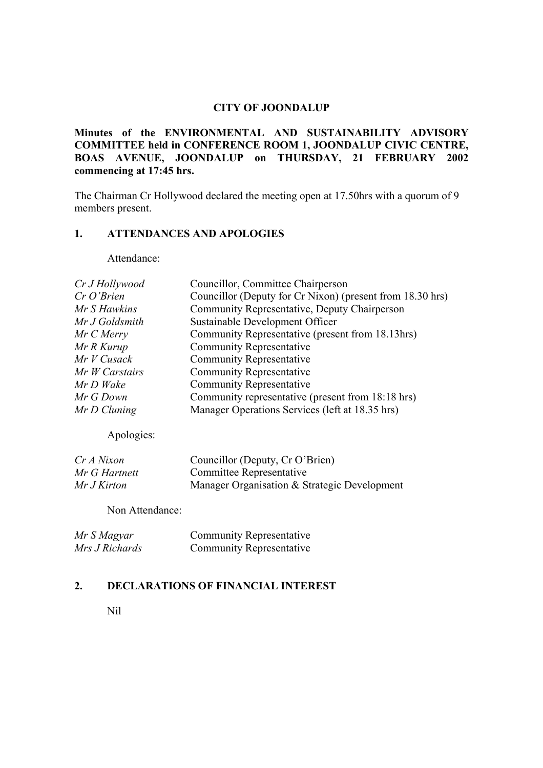## **CITY OF JOONDALUP**

**Minutes of the ENVIRONMENTAL AND SUSTAINABILITY ADVISORY COMMITTEE held in CONFERENCE ROOM 1, JOONDALUP CIVIC CENTRE, BOAS AVENUE, JOONDALUP on THURSDAY, 21 FEBRUARY 2002 commencing at 17:45 hrs.**

The Chairman Cr Hollywood declared the meeting open at 17.50hrs with a quorum of 9 members present.

#### **1. ATTENDANCES AND APOLOGIES**

Attendance:

| Councillor, Committee Chairperson                         |
|-----------------------------------------------------------|
| Councillor (Deputy for Cr Nixon) (present from 18.30 hrs) |
| Community Representative, Deputy Chairperson              |
| Sustainable Development Officer                           |
| Community Representative (present from 18.13hrs)          |
| <b>Community Representative</b>                           |
| <b>Community Representative</b>                           |
| <b>Community Representative</b>                           |
| <b>Community Representative</b>                           |
| Community representative (present from 18:18 hrs)         |
| Manager Operations Services (left at 18.35 hrs)           |
|                                                           |

Apologies:

| Cr A Nixon    | Councillor (Deputy, Cr O'Brien)              |
|---------------|----------------------------------------------|
| Mr G Hartnett | Committee Representative                     |
| Mr J Kirton   | Manager Organisation & Strategic Development |

Non Attendance:

| Mr S Magyar    | <b>Community Representative</b> |
|----------------|---------------------------------|
| Mrs J Richards | <b>Community Representative</b> |

# **2. DECLARATIONS OF FINANCIAL INTEREST**

Nil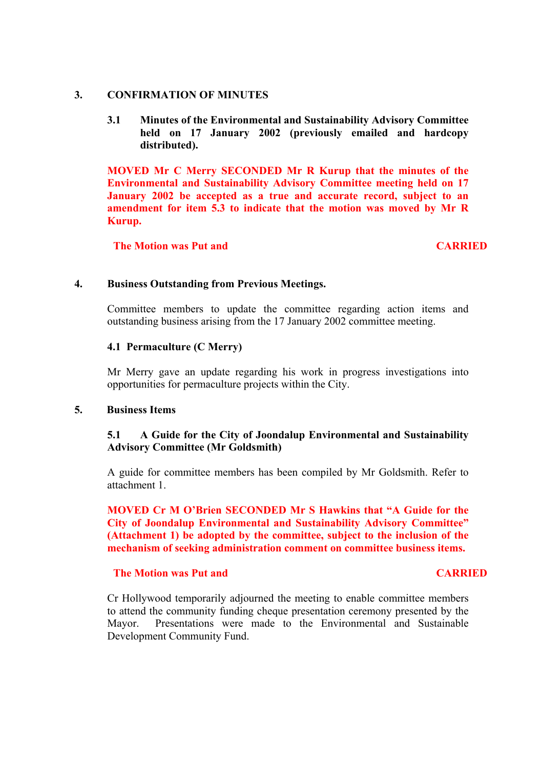### **3. CONFIRMATION OF MINUTES**

### **3.1 Minutes of the Environmental and Sustainability Advisory Committee held on 17 January 2002 (previously emailed and hardcopy distributed).**

**MOVED Mr C Merry SECONDED Mr R Kurup that the minutes of the Environmental and Sustainability Advisory Committee meeting held on 17 January 2002 be accepted as a true and accurate record, subject to an amendment for item 5.3 to indicate that the motion was moved by Mr R Kurup.**

**The Motion was Put and CARRIED** 

#### **4. Business Outstanding from Previous Meetings.**

Committee members to update the committee regarding action items and outstanding business arising from the 17 January 2002 committee meeting.

#### **4.1 Permaculture (C Merry)**

Mr Merry gave an update regarding his work in progress investigations into opportunities for permaculture projects within the City.

### **5. Business Items**

## **5.1 A Guide for the City of Joondalup Environmental and Sustainability Advisory Committee (Mr Goldsmith)**

A guide for committee members has been compiled by Mr Goldsmith. Refer to attachment 1.

**MOVED Cr M O'Brien SECONDED Mr S Hawkins that "A Guide for the City of Joondalup Environmental and Sustainability Advisory Committee" (Attachment 1) be adopted by the committee, subject to the inclusion of the mechanism of seeking administration comment on committee business items.**

### **The Motion was Put and CARRIED CARRIED**

Cr Hollywood temporarily adjourned the meeting to enable committee members to attend the community funding cheque presentation ceremony presented by the Mayor. Presentations were made to the Environmental and Sustainable Development Community Fund.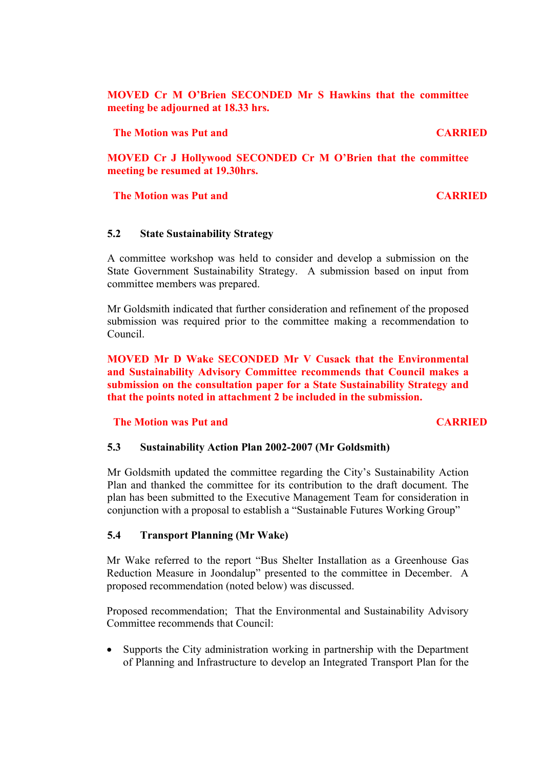**MOVED Cr M O'Brien SECONDED Mr S Hawkins that the committee meeting be adjourned at 18.33 hrs.**

**The Motion was Put and CARRIED** 

**MOVED Cr J Hollywood SECONDED Cr M O'Brien that the committee meeting be resumed at 19.30hrs.**

### **The Motion was Put and CARRIED**

#### **5.2 State Sustainability Strategy**

A committee workshop was held to consider and develop a submission on the State Government Sustainability Strategy. A submission based on input from committee members was prepared.

Mr Goldsmith indicated that further consideration and refinement of the proposed submission was required prior to the committee making a recommendation to Council.

**MOVED Mr D Wake SECONDED Mr V Cusack that the Environmental and Sustainability Advisory Committee recommends that Council makes a submission on the consultation paper for a State Sustainability Strategy and that the points noted in attachment 2 be included in the submission.**

**The Motion was Put and CARRIED CARRIED** 

#### **5.3 Sustainability Action Plan 2002-2007 (Mr Goldsmith)**

Mr Goldsmith updated the committee regarding the City's Sustainability Action Plan and thanked the committee for its contribution to the draft document. The plan has been submitted to the Executive Management Team for consideration in conjunction with a proposal to establish a "Sustainable Futures Working Group"

#### **5.4 Transport Planning (Mr Wake)**

Mr Wake referred to the report "Bus Shelter Installation as a Greenhouse Gas Reduction Measure in Joondalup" presented to the committee in December. A proposed recommendation (noted below) was discussed.

Proposed recommendation; That the Environmental and Sustainability Advisory Committee recommends that Council:

• Supports the City administration working in partnership with the Department of Planning and Infrastructure to develop an Integrated Transport Plan for the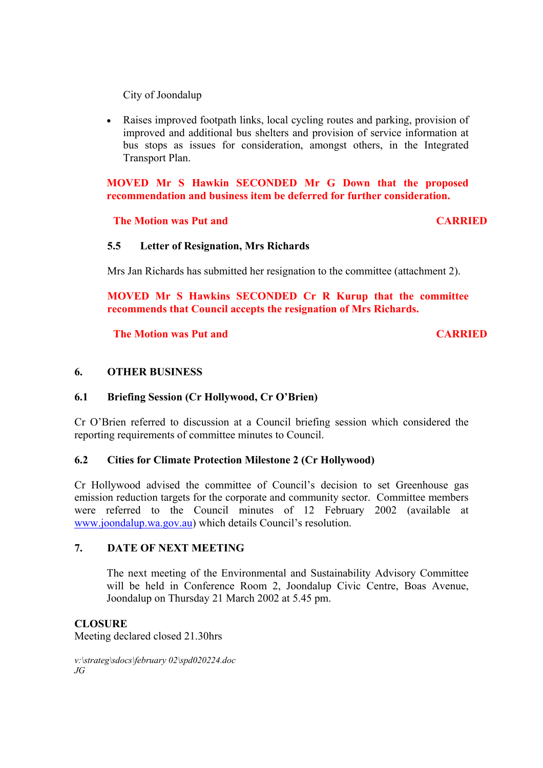City of Joondalup

• Raises improved footpath links, local cycling routes and parking, provision of improved and additional bus shelters and provision of service information at bus stops as issues for consideration, amongst others, in the Integrated Transport Plan.

**MOVED Mr S Hawkin SECONDED Mr G Down that the proposed recommendation and business item be deferred for further consideration.**

## **The Motion was Put and CARRIED**

## **5.5 Letter of Resignation, Mrs Richards**

Mrs Jan Richards has submitted her resignation to the committee (attachment 2).

**MOVED Mr S Hawkins SECONDED Cr R Kurup that the committee recommends that Council accepts the resignation of Mrs Richards.**

**The Motion was Put and CARRIED** 

## **6. OTHER BUSINESS**

## **6.1 Briefing Session (Cr Hollywood, Cr O'Brien)**

Cr O'Brien referred to discussion at a Council briefing session which considered the reporting requirements of committee minutes to Council.

### **6.2 Cities for Climate Protection Milestone 2 (Cr Hollywood)**

Cr Hollywood advised the committee of Council's decision to set Greenhouse gas emission reduction targets for the corporate and community sector. Committee members were referred to the Council minutes of 12 February 2002 (available at www.joondalup.wa.gov.au) which details Council's resolution.

#### **7. DATE OF NEXT MEETING**

The next meeting of the Environmental and Sustainability Advisory Committee will be held in Conference Room 2, Joondalup Civic Centre, Boas Avenue, Joondalup on Thursday 21 March 2002 at 5.45 pm.

### **CLOSURE**

Meeting declared closed 21.30hrs

*v:\strateg\sdocs\february 02\spd020224.doc JG*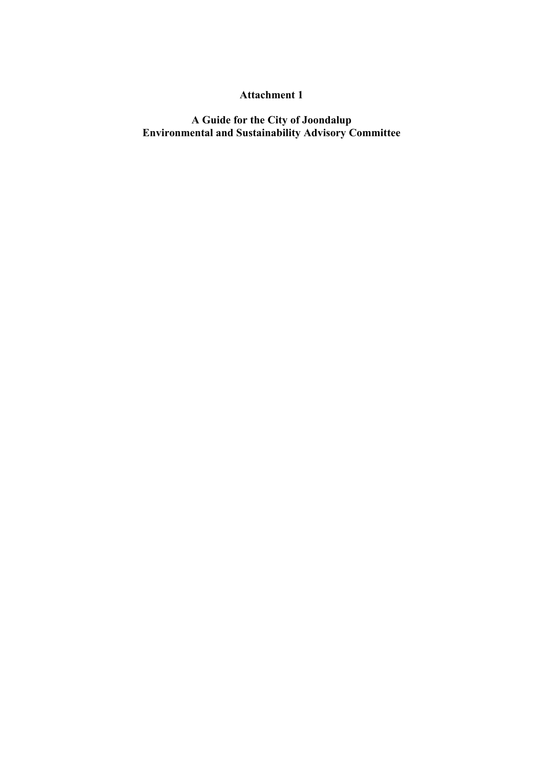## **Attachment 1**

**A Guide for the City of Joondalup Environmental and Sustainability Advisory Committee**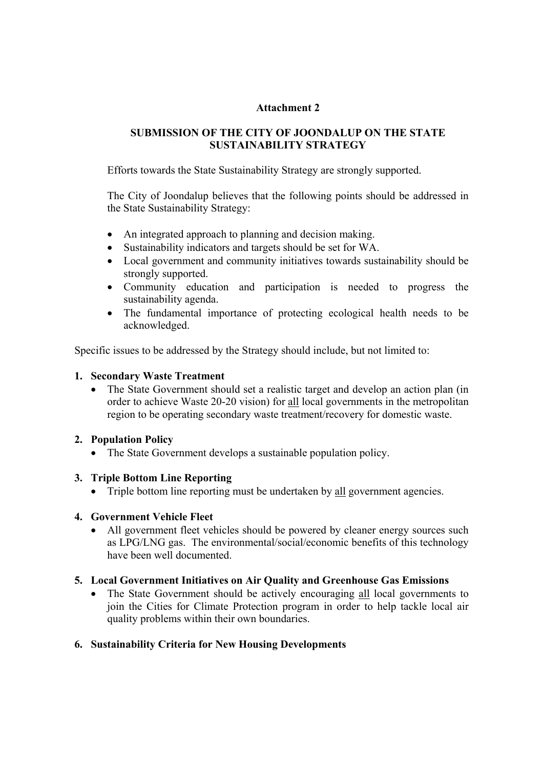## **Attachment 2**

# **SUBMISSION OF THE CITY OF JOONDALUP ON THE STATE SUSTAINABILITY STRATEGY**

Efforts towards the State Sustainability Strategy are strongly supported.

The City of Joondalup believes that the following points should be addressed in the State Sustainability Strategy:

- An integrated approach to planning and decision making.
- Sustainability indicators and targets should be set for WA.
- Local government and community initiatives towards sustainability should be strongly supported.
- Community education and participation is needed to progress the sustainability agenda.
- The fundamental importance of protecting ecological health needs to be acknowledged.

Specific issues to be addressed by the Strategy should include, but not limited to:

## **1. Secondary Waste Treatment**

• The State Government should set a realistic target and develop an action plan (in order to achieve Waste 20-20 vision) for all local governments in the metropolitan region to be operating secondary waste treatment/recovery for domestic waste.

#### **2. Population Policy**

• The State Government develops a sustainable population policy.

#### **3. Triple Bottom Line Reporting**

• Triple bottom line reporting must be undertaken by <u>all</u> government agencies.

#### **4. Government Vehicle Fleet**

All government fleet vehicles should be powered by cleaner energy sources such as LPG/LNG gas. The environmental/social/economic benefits of this technology have been well documented.

## **5. Local Government Initiatives on Air Quality and Greenhouse Gas Emissions**

• The State Government should be actively encouraging all local governments to join the Cities for Climate Protection program in order to help tackle local air quality problems within their own boundaries.

### **6. Sustainability Criteria for New Housing Developments**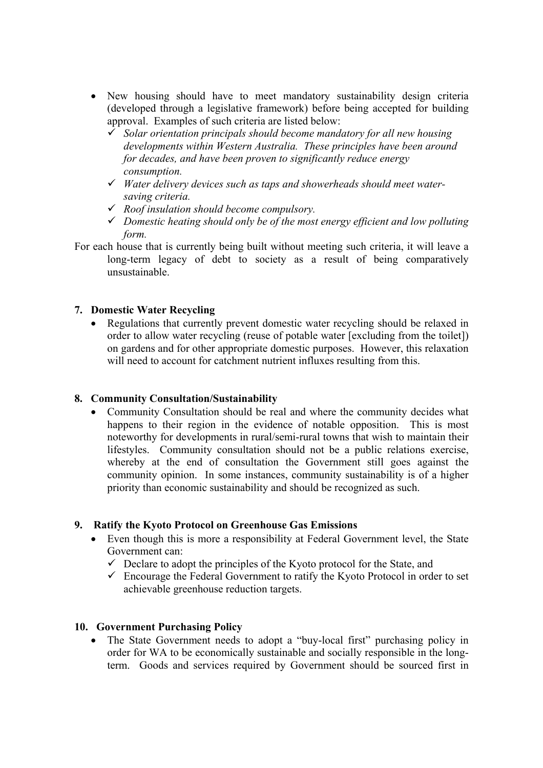- New housing should have to meet mandatory sustainability design criteria (developed through a legislative framework) before being accepted for building approval. Examples of such criteria are listed below:
	- 9 *Solar orientation principals should become mandatory for all new housing developments within Western Australia. These principles have been around for decades, and have been proven to significantly reduce energy consumption.*
	- 9 *Water delivery devices such as taps and showerheads should meet watersaving criteria.*
	- 9 *Roof insulation should become compulsory.*
	- 9 *Domestic heating should only be of the most energy efficient and low polluting form.*
- For each house that is currently being built without meeting such criteria, it will leave a long-term legacy of debt to society as a result of being comparatively unsustainable.

## **7. Domestic Water Recycling**

• Regulations that currently prevent domestic water recycling should be relaxed in order to allow water recycling (reuse of potable water [excluding from the toilet]) on gardens and for other appropriate domestic purposes. However, this relaxation will need to account for catchment nutrient influxes resulting from this.

#### **8. Community Consultation/Sustainability**

• Community Consultation should be real and where the community decides what happens to their region in the evidence of notable opposition. This is most noteworthy for developments in rural/semi-rural towns that wish to maintain their lifestyles. Community consultation should not be a public relations exercise, whereby at the end of consultation the Government still goes against the community opinion. In some instances, community sustainability is of a higher priority than economic sustainability and should be recognized as such.

#### **9. Ratify the Kyoto Protocol on Greenhouse Gas Emissions**

- Even though this is more a responsibility at Federal Government level, the State Government can:
	- $\checkmark$  Declare to adopt the principles of the Kyoto protocol for the State, and
	- $\checkmark$  Encourage the Federal Government to ratify the Kyoto Protocol in order to set achievable greenhouse reduction targets.

#### **10. Government Purchasing Policy**

• The State Government needs to adopt a "buy-local first" purchasing policy in order for WA to be economically sustainable and socially responsible in the longterm. Goods and services required by Government should be sourced first in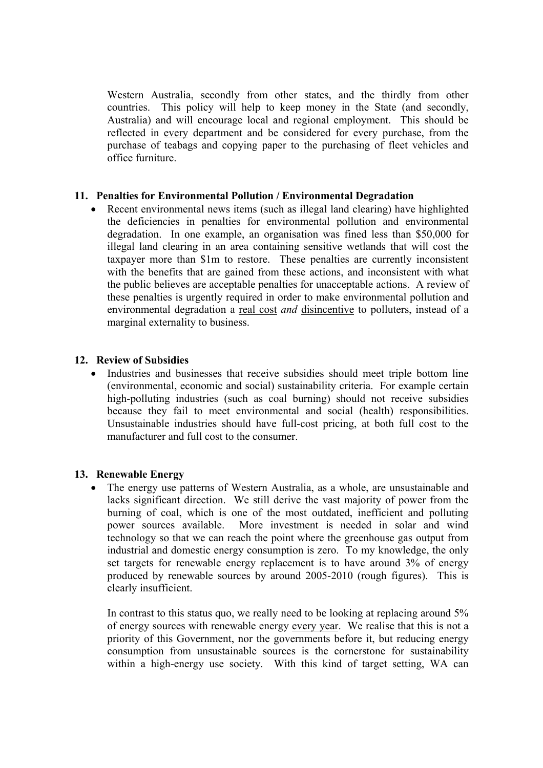Western Australia, secondly from other states, and the thirdly from other countries. This policy will help to keep money in the State (and secondly, Australia) and will encourage local and regional employment. This should be reflected in every department and be considered for every purchase, from the purchase of teabags and copying paper to the purchasing of fleet vehicles and office furniture.

## **11. Penalties for Environmental Pollution / Environmental Degradation**

• Recent environmental news items (such as illegal land clearing) have highlighted the deficiencies in penalties for environmental pollution and environmental degradation. In one example, an organisation was fined less than \$50,000 for illegal land clearing in an area containing sensitive wetlands that will cost the taxpayer more than \$1m to restore. These penalties are currently inconsistent with the benefits that are gained from these actions, and inconsistent with what the public believes are acceptable penalties for unacceptable actions. A review of these penalties is urgently required in order to make environmental pollution and environmental degradation a real cost *and* disincentive to polluters, instead of a marginal externality to business.

## **12. Review of Subsidies**

• Industries and businesses that receive subsidies should meet triple bottom line (environmental, economic and social) sustainability criteria. For example certain high-polluting industries (such as coal burning) should not receive subsidies because they fail to meet environmental and social (health) responsibilities. Unsustainable industries should have full-cost pricing, at both full cost to the manufacturer and full cost to the consumer.

#### **13. Renewable Energy**

• The energy use patterns of Western Australia, as a whole, are unsustainable and lacks significant direction. We still derive the vast majority of power from the burning of coal, which is one of the most outdated, inefficient and polluting power sources available. More investment is needed in solar and wind technology so that we can reach the point where the greenhouse gas output from industrial and domestic energy consumption is zero. To my knowledge, the only set targets for renewable energy replacement is to have around 3% of energy produced by renewable sources by around 2005-2010 (rough figures). This is clearly insufficient.

In contrast to this status quo, we really need to be looking at replacing around 5% of energy sources with renewable energy every year. We realise that this is not a priority of this Government, nor the governments before it, but reducing energy consumption from unsustainable sources is the cornerstone for sustainability within a high-energy use society. With this kind of target setting, WA can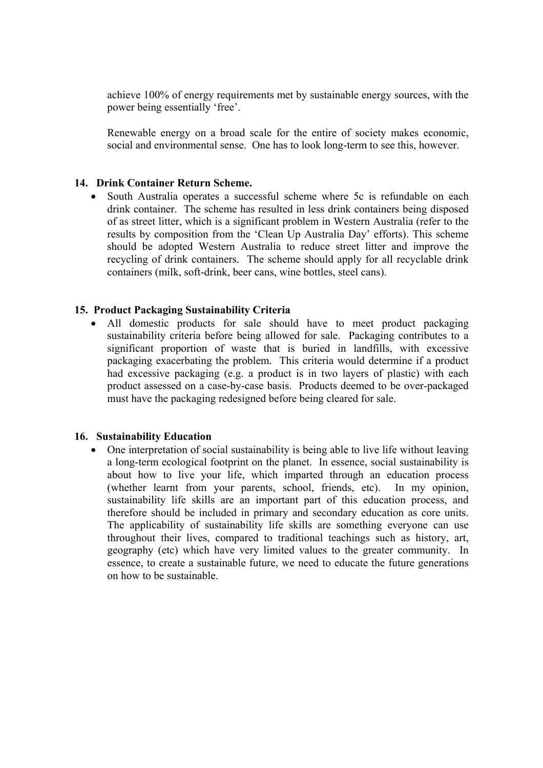achieve 100% of energy requirements met by sustainable energy sources, with the power being essentially 'free'.

Renewable energy on a broad scale for the entire of society makes economic, social and environmental sense. One has to look long-term to see this, however.

### **14. Drink Container Return Scheme.**

• South Australia operates a successful scheme where 5c is refundable on each drink container. The scheme has resulted in less drink containers being disposed of as street litter, which is a significant problem in Western Australia (refer to the results by composition from the 'Clean Up Australia Day' efforts). This scheme should be adopted Western Australia to reduce street litter and improve the recycling of drink containers. The scheme should apply for all recyclable drink containers (milk, soft-drink, beer cans, wine bottles, steel cans).

#### **15. Product Packaging Sustainability Criteria**

• All domestic products for sale should have to meet product packaging sustainability criteria before being allowed for sale. Packaging contributes to a significant proportion of waste that is buried in landfills, with excessive packaging exacerbating the problem. This criteria would determine if a product had excessive packaging (e.g. a product is in two layers of plastic) with each product assessed on a case-by-case basis. Products deemed to be over-packaged must have the packaging redesigned before being cleared for sale.

#### **16. Sustainability Education**

• One interpretation of social sustainability is being able to live life without leaving a long-term ecological footprint on the planet. In essence, social sustainability is about how to live your life, which imparted through an education process (whether learnt from your parents, school, friends, etc). In my opinion, sustainability life skills are an important part of this education process, and therefore should be included in primary and secondary education as core units. The applicability of sustainability life skills are something everyone can use throughout their lives, compared to traditional teachings such as history, art, geography (etc) which have very limited values to the greater community. In essence, to create a sustainable future, we need to educate the future generations on how to be sustainable.